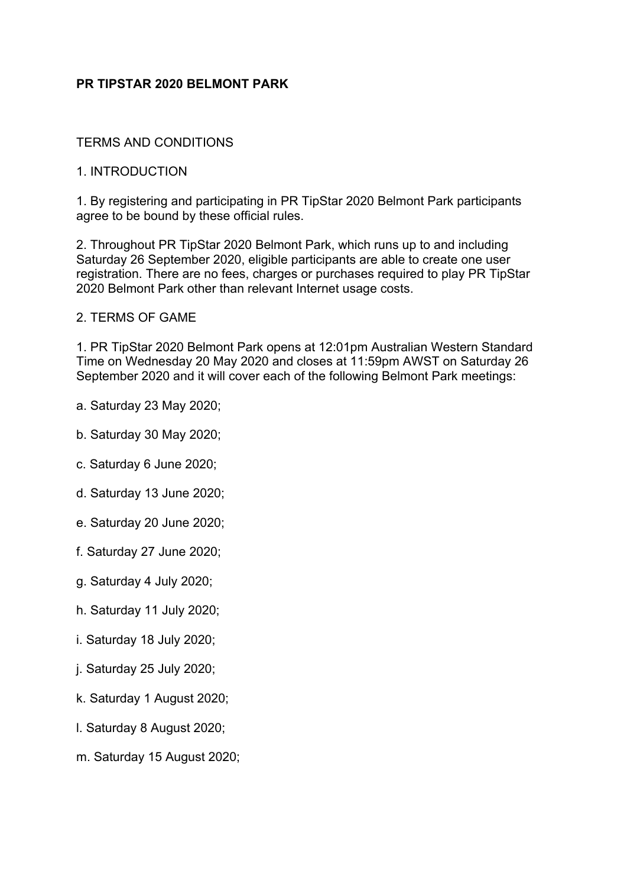# **PR TIPSTAR 2020 BELMONT PARK**

#### TERMS AND CONDITIONS

#### 1. INTRODUCTION

1. By registering and participating in PR TipStar 2020 Belmont Park participants agree to be bound by these official rules.

2. Throughout PR TipStar 2020 Belmont Park, which runs up to and including Saturday 26 September 2020, eligible participants are able to create one user registration. There are no fees, charges or purchases required to play PR TipStar 2020 Belmont Park other than relevant Internet usage costs.

#### 2. TERMS OF GAME

1. PR TipStar 2020 Belmont Park opens at 12:01pm Australian Western Standard Time on Wednesday 20 May 2020 and closes at 11:59pm AWST on Saturday 26 September 2020 and it will cover each of the following Belmont Park meetings:

- a. Saturday 23 May 2020;
- b. Saturday 30 May 2020;
- c. Saturday 6 June 2020;
- d. Saturday 13 June 2020;
- e. Saturday 20 June 2020;
- f. Saturday 27 June 2020;
- g. Saturday 4 July 2020;
- h. Saturday 11 July 2020;
- i. Saturday 18 July 2020;
- j. Saturday 25 July 2020;
- k. Saturday 1 August 2020;
- l. Saturday 8 August 2020;
- m. Saturday 15 August 2020;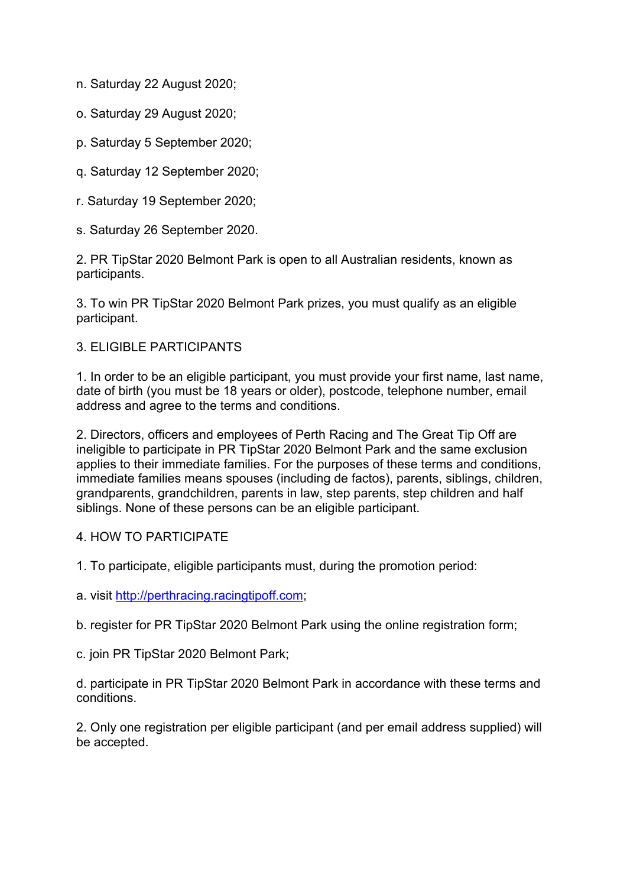n. Saturday 22 August 2020;

- o. Saturday 29 August 2020;
- p. Saturday 5 September 2020;
- q. Saturday 12 September 2020;
- r. Saturday 19 September 2020;
- s. Saturday 26 September 2020.

2. PR TipStar 2020 Belmont Park is open to all Australian residents, known as participants.

3. To win PR TipStar 2020 Belmont Park prizes, you must qualify as an eligible participant.

## 3. ELIGIBLE PARTICIPANTS

1. In order to be an eligible participant, you must provide your first name, last name, date of birth (you must be 18 years or older), postcode, telephone number, email address and agree to the terms and conditions.

2. Directors, officers and employees of Perth Racing and The Great Tip Off are ineligible to participate in PR TipStar 2020 Belmont Park and the same exclusion applies to their immediate families. For the purposes of these terms and conditions, immediate families means spouses (including de factos), parents, siblings, children, grandparents, grandchildren, parents in law, step parents, step children and half siblings. None of these persons can be an eligible participant.

## 4. HOW TO PARTICIPATE

- 1. To participate, eligible participants must, during the promotion period:
- a. visit http://perthracing.racingtipoff.com;
- b. register for PR TipStar 2020 Belmont Park using the online registration form;
- c. join PR TipStar 2020 Belmont Park;

d. participate in PR TipStar 2020 Belmont Park in accordance with these terms and conditions.

2. Only one registration per eligible participant (and per email address supplied) will be accepted.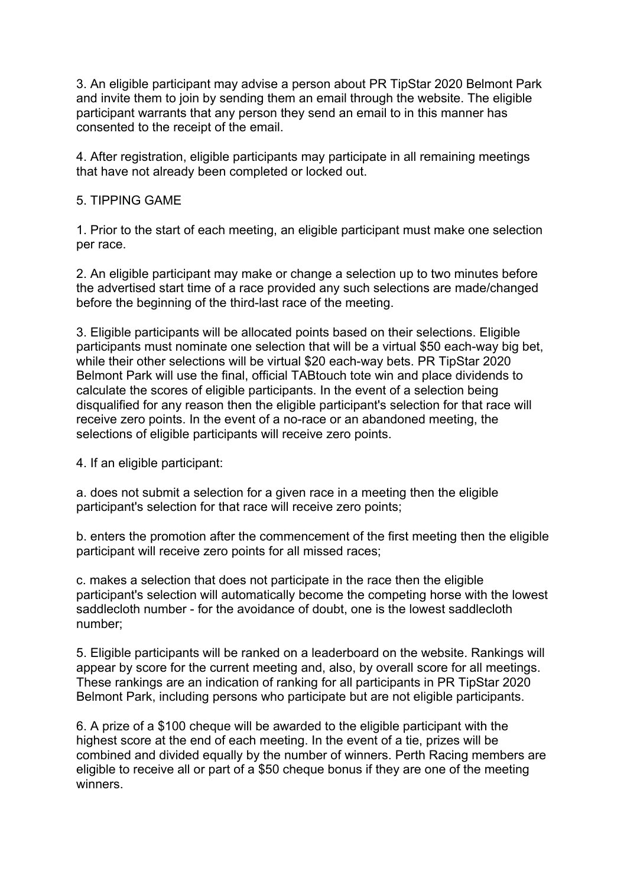3. An eligible participant may advise a person about PR TipStar 2020 Belmont Park and invite them to join by sending them an email through the website. The eligible participant warrants that any person they send an email to in this manner has consented to the receipt of the email.

4. After registration, eligible participants may participate in all remaining meetings that have not already been completed or locked out.

# 5. TIPPING GAME

1. Prior to the start of each meeting, an eligible participant must make one selection per race.

2. An eligible participant may make or change a selection up to two minutes before the advertised start time of a race provided any such selections are made/changed before the beginning of the third-last race of the meeting.

3. Eligible participants will be allocated points based on their selections. Eligible participants must nominate one selection that will be a virtual \$50 each-way big bet, while their other selections will be virtual \$20 each-way bets. PR TipStar 2020 Belmont Park will use the final, official TABtouch tote win and place dividends to calculate the scores of eligible participants. In the event of a selection being disqualified for any reason then the eligible participant's selection for that race will receive zero points. In the event of a no-race or an abandoned meeting, the selections of eligible participants will receive zero points.

4. If an eligible participant:

a. does not submit a selection for a given race in a meeting then the eligible participant's selection for that race will receive zero points;

b. enters the promotion after the commencement of the first meeting then the eligible participant will receive zero points for all missed races;

c. makes a selection that does not participate in the race then the eligible participant's selection will automatically become the competing horse with the lowest saddlecloth number - for the avoidance of doubt, one is the lowest saddlecloth number;

5. Eligible participants will be ranked on a leaderboard on the website. Rankings will appear by score for the current meeting and, also, by overall score for all meetings. These rankings are an indication of ranking for all participants in PR TipStar 2020 Belmont Park, including persons who participate but are not eligible participants.

6. A prize of a \$100 cheque will be awarded to the eligible participant with the highest score at the end of each meeting. In the event of a tie, prizes will be combined and divided equally by the number of winners. Perth Racing members are eligible to receive all or part of a \$50 cheque bonus if they are one of the meeting winners.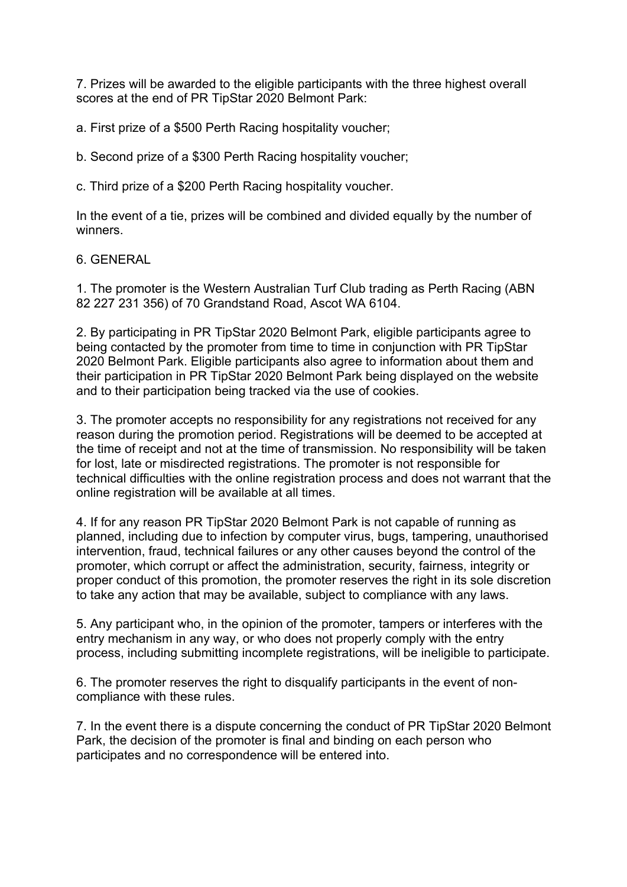7. Prizes will be awarded to the eligible participants with the three highest overall scores at the end of PR TipStar 2020 Belmont Park:

a. First prize of a \$500 Perth Racing hospitality voucher;

b. Second prize of a \$300 Perth Racing hospitality voucher;

c. Third prize of a \$200 Perth Racing hospitality voucher.

In the event of a tie, prizes will be combined and divided equally by the number of winners.

6. GENERAL

1. The promoter is the Western Australian Turf Club trading as Perth Racing (ABN 82 227 231 356) of 70 Grandstand Road, Ascot WA 6104.

2. By participating in PR TipStar 2020 Belmont Park, eligible participants agree to being contacted by the promoter from time to time in conjunction with PR TipStar 2020 Belmont Park. Eligible participants also agree to information about them and their participation in PR TipStar 2020 Belmont Park being displayed on the website and to their participation being tracked via the use of cookies.

3. The promoter accepts no responsibility for any registrations not received for any reason during the promotion period. Registrations will be deemed to be accepted at the time of receipt and not at the time of transmission. No responsibility will be taken for lost, late or misdirected registrations. The promoter is not responsible for technical difficulties with the online registration process and does not warrant that the online registration will be available at all times.

4. If for any reason PR TipStar 2020 Belmont Park is not capable of running as planned, including due to infection by computer virus, bugs, tampering, unauthorised intervention, fraud, technical failures or any other causes beyond the control of the promoter, which corrupt or affect the administration, security, fairness, integrity or proper conduct of this promotion, the promoter reserves the right in its sole discretion to take any action that may be available, subject to compliance with any laws.

5. Any participant who, in the opinion of the promoter, tampers or interferes with the entry mechanism in any way, or who does not properly comply with the entry process, including submitting incomplete registrations, will be ineligible to participate.

6. The promoter reserves the right to disqualify participants in the event of noncompliance with these rules.

7. In the event there is a dispute concerning the conduct of PR TipStar 2020 Belmont Park, the decision of the promoter is final and binding on each person who participates and no correspondence will be entered into.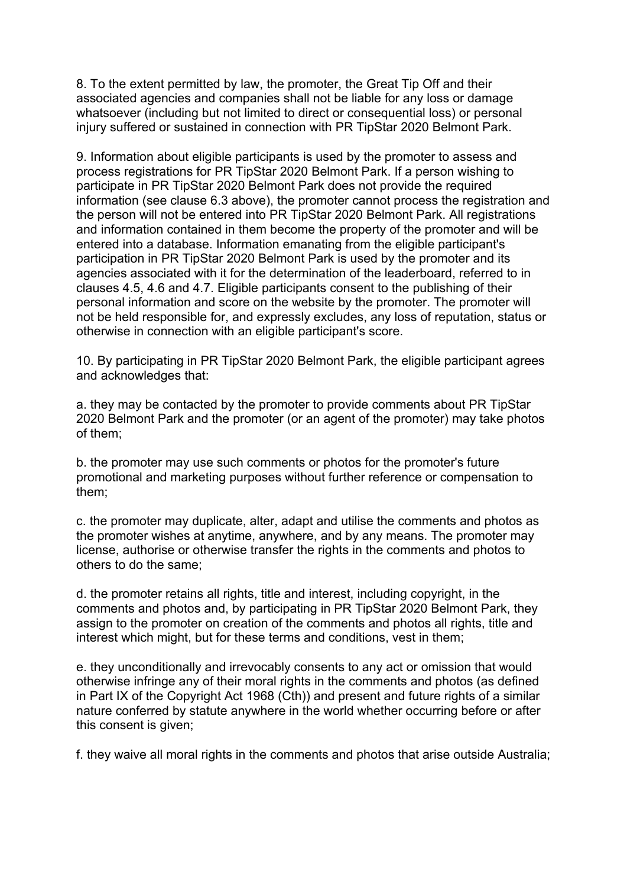8. To the extent permitted by law, the promoter, the Great Tip Off and their associated agencies and companies shall not be liable for any loss or damage whatsoever (including but not limited to direct or consequential loss) or personal injury suffered or sustained in connection with PR TipStar 2020 Belmont Park.

9. Information about eligible participants is used by the promoter to assess and process registrations for PR TipStar 2020 Belmont Park. If a person wishing to participate in PR TipStar 2020 Belmont Park does not provide the required information (see clause 6.3 above), the promoter cannot process the registration and the person will not be entered into PR TipStar 2020 Belmont Park. All registrations and information contained in them become the property of the promoter and will be entered into a database. Information emanating from the eligible participant's participation in PR TipStar 2020 Belmont Park is used by the promoter and its agencies associated with it for the determination of the leaderboard, referred to in clauses 4.5, 4.6 and 4.7. Eligible participants consent to the publishing of their personal information and score on the website by the promoter. The promoter will not be held responsible for, and expressly excludes, any loss of reputation, status or otherwise in connection with an eligible participant's score.

10. By participating in PR TipStar 2020 Belmont Park, the eligible participant agrees and acknowledges that:

a. they may be contacted by the promoter to provide comments about PR TipStar 2020 Belmont Park and the promoter (or an agent of the promoter) may take photos of them;

b. the promoter may use such comments or photos for the promoter's future promotional and marketing purposes without further reference or compensation to them;

c. the promoter may duplicate, alter, adapt and utilise the comments and photos as the promoter wishes at anytime, anywhere, and by any means. The promoter may license, authorise or otherwise transfer the rights in the comments and photos to others to do the same;

d. the promoter retains all rights, title and interest, including copyright, in the comments and photos and, by participating in PR TipStar 2020 Belmont Park, they assign to the promoter on creation of the comments and photos all rights, title and interest which might, but for these terms and conditions, vest in them;

e. they unconditionally and irrevocably consents to any act or omission that would otherwise infringe any of their moral rights in the comments and photos (as defined in Part IX of the Copyright Act 1968 (Cth)) and present and future rights of a similar nature conferred by statute anywhere in the world whether occurring before or after this consent is given;

f. they waive all moral rights in the comments and photos that arise outside Australia;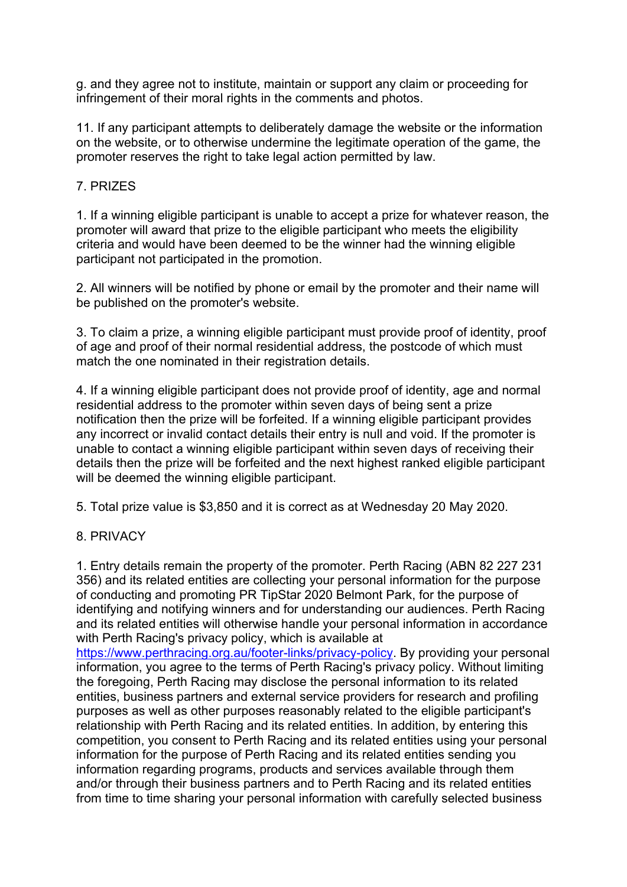g. and they agree not to institute, maintain or support any claim or proceeding for infringement of their moral rights in the comments and photos.

11. If any participant attempts to deliberately damage the website or the information on the website, or to otherwise undermine the legitimate operation of the game, the promoter reserves the right to take legal action permitted by law.

## 7. PRIZES

1. If a winning eligible participant is unable to accept a prize for whatever reason, the promoter will award that prize to the eligible participant who meets the eligibility criteria and would have been deemed to be the winner had the winning eligible participant not participated in the promotion.

2. All winners will be notified by phone or email by the promoter and their name will be published on the promoter's website.

3. To claim a prize, a winning eligible participant must provide proof of identity, proof of age and proof of their normal residential address, the postcode of which must match the one nominated in their registration details.

4. If a winning eligible participant does not provide proof of identity, age and normal residential address to the promoter within seven days of being sent a prize notification then the prize will be forfeited. If a winning eligible participant provides any incorrect or invalid contact details their entry is null and void. If the promoter is unable to contact a winning eligible participant within seven days of receiving their details then the prize will be forfeited and the next highest ranked eligible participant will be deemed the winning eligible participant.

5. Total prize value is \$3,850 and it is correct as at Wednesday 20 May 2020.

## 8. PRIVACY

1. Entry details remain the property of the promoter. Perth Racing (ABN 82 227 231 356) and its related entities are collecting your personal information for the purpose of conducting and promoting PR TipStar 2020 Belmont Park, for the purpose of identifying and notifying winners and for understanding our audiences. Perth Racing and its related entities will otherwise handle your personal information in accordance with Perth Racing's privacy policy, which is available at

https://www.perthracing.org.au/footer-links/privacy-policy. By providing your personal information, you agree to the terms of Perth Racing's privacy policy. Without limiting the foregoing, Perth Racing may disclose the personal information to its related entities, business partners and external service providers for research and profiling purposes as well as other purposes reasonably related to the eligible participant's relationship with Perth Racing and its related entities. In addition, by entering this competition, you consent to Perth Racing and its related entities using your personal information for the purpose of Perth Racing and its related entities sending you information regarding programs, products and services available through them and/or through their business partners and to Perth Racing and its related entities from time to time sharing your personal information with carefully selected business